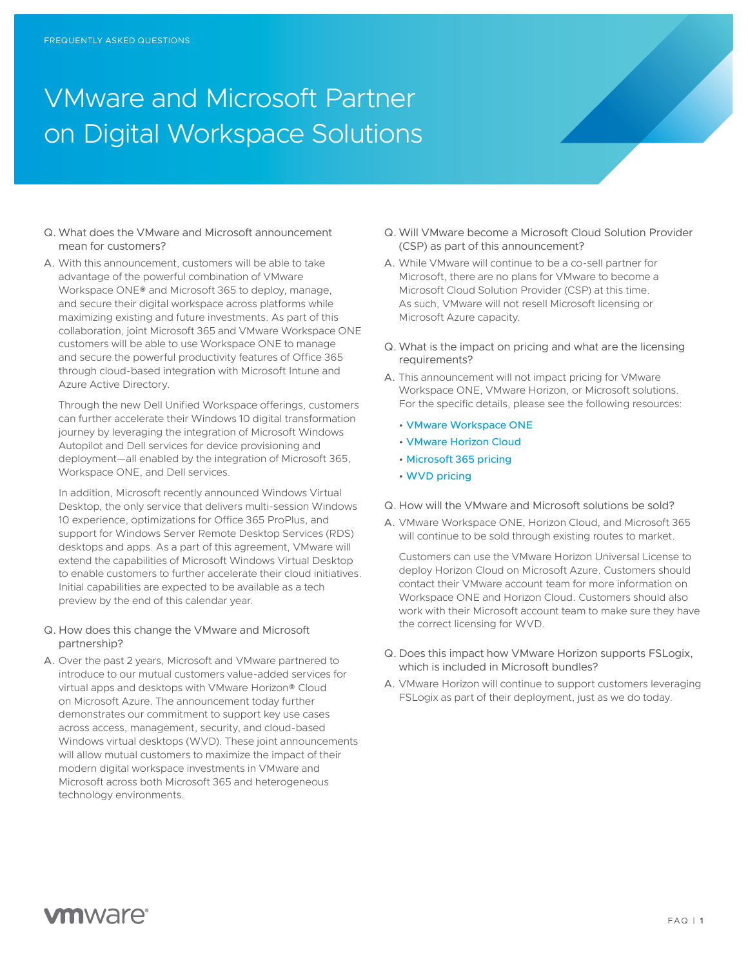## VMware and Microsoft Partner on Digital Workspace Solutions

- Q. What does the VMware and Microsoft announcement mean for customers?
- A. With this announcement, customers will be able to take advantage of the powerful combination of VMware Workspace ONE® and Microsoft 365 to deploy, manage, and secure their digital workspace across platforms while maximizing existing and future investments. As part of this collaboration, joint Microsoft 365 and VMware Workspace ONE customers will be able to use Workspace ONE to manage and secure the powerful productivity features of Office 365 through cloud-based integration with Microsoft Intune and Azure Active Directory.

Through the new Dell Unified Workspace offerings, customers can further accelerate their Windows 10 digital transformation journey by leveraging the integration of Microsoft Windows Autopilot and Dell services for device provisioning and deployment—all enabled by the integration of Microsoft 365, Workspace ONE, and Dell services.

In addition, Microsoft recently announced Windows Virtual Desktop, the only service that delivers multi-session Windows 10 experience, optimizations for Office 365 ProPlus, and support for Windows Server Remote Desktop Services (RDS) desktops and apps. As a part of this agreement, VMware will extend the capabilities of Microsoft Windows Virtual Desktop to enable customers to further accelerate their cloud initiatives. Initial capabilities are expected to be available as a tech preview by the end of this calendar year.

- Q. How does this change the VMware and Microsoft partnership?
- A. Over the past 2 years, Microsoft and VMware partnered to introduce to our mutual customers value-added services for virtual apps and desktops with VMware Horizon® Cloud on Microsoft Azure. The announcement today further demonstrates our commitment to support key use cases across access, management, security, and cloud-based Windows virtual desktops (WVD). These joint announcements will allow mutual customers to maximize the impact of their modern digital workspace investments in VMware and Microsoft across both Microsoft 365 and heterogeneous technology environments.
- Q. Will VMware become a Microsoft Cloud Solution Provider (CSP) as part of this announcement?
- A. While VMware will continue to be a co-sell partner for Microsoft, there are no plans for VMware to become a Microsoft Cloud Solution Provider (CSP) at this time. As such, VMware will not resell Microsoft licensing or Microsoft Azure capacity.
- Q. What is the impact on pricing and what are the licensing requirements?
- A. This announcement will not impact pricing for VMware Workspace ONE, VMware Horizon, or Microsoft solutions. For the specific details, please see the following resources:
	- VMware Workspace ONE
	- VMware Horizon Cloud
	- Microsoft 365 pricing
	- WVD pricing
- Q. How will the VMware and Microsoft solutions be sold?
- A. VMware Workspace ONE, Horizon Cloud, and Microsoft 365 will continue to be sold through existing routes to market.

Customers can use the VMware Horizon Universal License to deploy Horizon Cloud on Microsoft Azure. Customers should contact their VMware account team for more information on Workspace ONE and Horizon Cloud. Customers should also work with their Microsoft account team to make sure they have the correct licensing for WVD.

- Q. Does this impact how VMware Horizon supports FSLogix, which is included in Microsoft bundles?
- A. VMware Horizon will continue to support customers leveraging FSLogix as part of their deployment, just as we do today.

## **vm**ware<sup>®</sup>